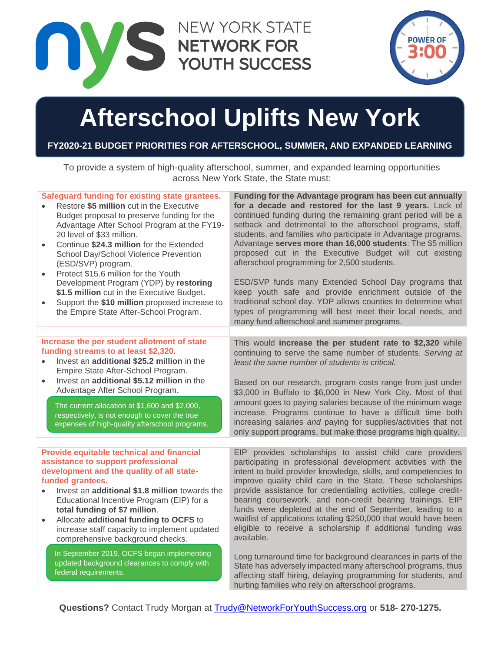



# **Afterschool Uplifts New York**

## **FY2020-21 BUDGET PRIORITIES FOR AFTERSCHOOL, SUMMER, AND EXPANDED LEARNING**

To provide a system of high-quality afterschool, summer, and expanded learning opportunities across New York State, the State must:

| Safeguard funding for existing state grantees.<br>Restore \$5 million cut in the Executive<br>Budget proposal to preserve funding for the<br>Advantage After School Program at the FY19-<br>20 level of \$33 million.<br>Continue \$24.3 million for the Extended<br>School Day/School Violence Prevention<br>(ESD/SVP) program.<br>Protect \$15.6 million for the Youth<br>$\bullet$<br>Development Program (YDP) by restoring<br>\$1.5 million cut in the Executive Budget.<br>Support the \$10 million proposed increase to<br>the Empire State After-School Program. | Funding for the Advantage program has been cut annually<br>for a decade and restored for the last 9 years. Lack of<br>continued funding during the remaining grant period will be a<br>setback and detrimental to the afterschool programs, staff,<br>students, and families who participate in Advantage programs.<br>Advantage serves more than 16,000 students: The \$5 million<br>proposed cut in the Executive Budget will cut existing<br>afterschool programming for 2,500 students.<br>ESD/SVP funds many Extended School Day programs that<br>keep youth safe and provide enrichment outside of the<br>traditional school day. YDP allows counties to determine what<br>types of programming will best meet their local needs, and<br>many fund afterschool and summer programs. |
|--------------------------------------------------------------------------------------------------------------------------------------------------------------------------------------------------------------------------------------------------------------------------------------------------------------------------------------------------------------------------------------------------------------------------------------------------------------------------------------------------------------------------------------------------------------------------|-------------------------------------------------------------------------------------------------------------------------------------------------------------------------------------------------------------------------------------------------------------------------------------------------------------------------------------------------------------------------------------------------------------------------------------------------------------------------------------------------------------------------------------------------------------------------------------------------------------------------------------------------------------------------------------------------------------------------------------------------------------------------------------------|
|                                                                                                                                                                                                                                                                                                                                                                                                                                                                                                                                                                          |                                                                                                                                                                                                                                                                                                                                                                                                                                                                                                                                                                                                                                                                                                                                                                                           |
| Increase the per student allotment of state<br>funding streams to at least \$2,320.<br>Invest an additional \$25.2 million in the<br>Empire State After-School Program.                                                                                                                                                                                                                                                                                                                                                                                                  | This would increase the per student rate to \$2,320 while<br>continuing to serve the same number of students. Serving at<br>least the same number of students is critical.                                                                                                                                                                                                                                                                                                                                                                                                                                                                                                                                                                                                                |
| Invest an additional \$5.12 million in the<br>$\bullet$<br>Advantage After School Program.                                                                                                                                                                                                                                                                                                                                                                                                                                                                               | Based on our research, program costs range from just under<br>\$3,000 in Buffalo to \$6,000 in New York City. Most of that                                                                                                                                                                                                                                                                                                                                                                                                                                                                                                                                                                                                                                                                |
| The current allocation at \$1,600 and \$2,000,<br>respectively, is not enough to cover the true<br>expenses of high-quality afterschool programs.                                                                                                                                                                                                                                                                                                                                                                                                                        | amount goes to paying salaries because of the minimum wage<br>increase. Programs continue to have a difficult time both<br>increasing salaries and paying for supplies/activities that not<br>only support programs, but make those programs high quality.                                                                                                                                                                                                                                                                                                                                                                                                                                                                                                                                |
|                                                                                                                                                                                                                                                                                                                                                                                                                                                                                                                                                                          |                                                                                                                                                                                                                                                                                                                                                                                                                                                                                                                                                                                                                                                                                                                                                                                           |
| <b>Provide equitable technical and financial</b><br>assistance to support professional<br>development and the quality of all state-<br>funded grantees.<br>Invest an additional \$1.8 million towards the<br>Educational Incentive Program (EIP) for a<br>total funding of \$7 million.<br>Allocate additional funding to OCFS to<br>$\bullet$<br>increase staff capacity to implement updated<br>comprehensive background checks.                                                                                                                                       | EIP provides scholarships to assist child care providers<br>participating in professional development activities with the<br>intent to build provider knowledge, skills, and competencies to<br>improve quality child care in the State. These scholarships<br>provide assistance for credentialing activities, college credit-<br>bearing coursework, and non-credit bearing trainings. EIP<br>funds were depleted at the end of September, leading to a<br>waitlist of applications totaling \$250,000 that would have been<br>eligible to receive a scholarship if additional funding was<br>available.                                                                                                                                                                                |
| In September 2019, OCFS began implementing<br>updated background clearances to comply with<br>federal requirements.                                                                                                                                                                                                                                                                                                                                                                                                                                                      | Long turnaround time for background clearances in parts of the<br>State has adversely impacted many afterschool programs, thus<br>affecting staff hiring, delaying programming for students, and<br>hurting families who rely on afterschool programs.                                                                                                                                                                                                                                                                                                                                                                                                                                                                                                                                    |

**Questions?** Contact Trudy Morgan at [Trudy@NetworkForYouthSuccess.org](mailto:Trudy@NetworkForYouthSuccess.org) or **518- 270-1275.**